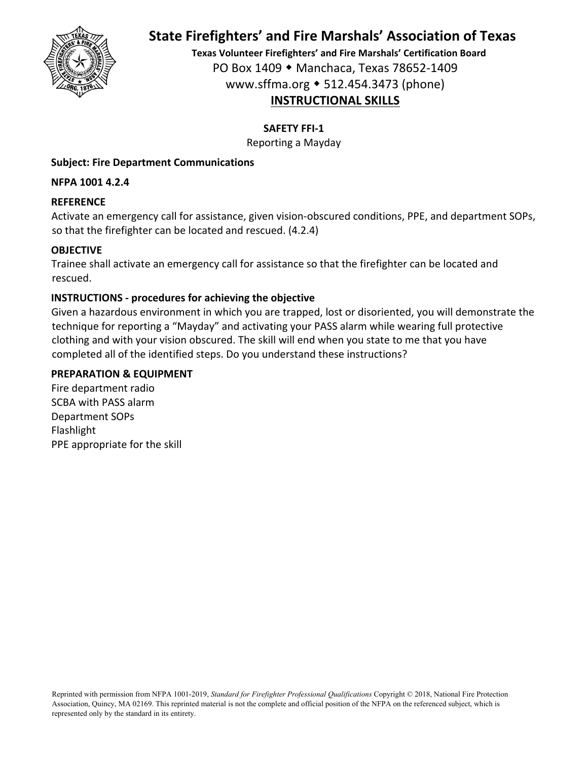

**Texas Volunteer Firefighters' and Fire Marshals' Certification Board** PO Box 1409 Manchaca, Texas 78652‐1409 www.sffma.org 512.454.3473 (phone) **INSTRUCTIONAL SKILLS**

**SAFETY FFI‐1**

Reporting a Mayday

### **Subject: Fire Department Communications**

**NFPA 1001 4.2.4**

### **REFERENCE**

Activate an emergency call for assistance, given vision‐obscured conditions, PPE, and department SOPs, so that the firefighter can be located and rescued. (4.2.4)

### **OBJECTIVE**

Trainee shall activate an emergency call for assistance so that the firefighter can be located and rescued.

### **INSTRUCTIONS ‐ procedures for achieving the objective**

Given a hazardous environment in which you are trapped, lost or disoriented, you will demonstrate the technique for reporting a "Mayday" and activating your PASS alarm while wearing full protective clothing and with your vision obscured. The skill will end when you state to me that you have completed all of the identified steps. Do you understand these instructions?

#### **PREPARATION & EQUIPMENT**

Fire department radio SCBA with PASS alarm Department SOPs Flashlight PPE appropriate for the skill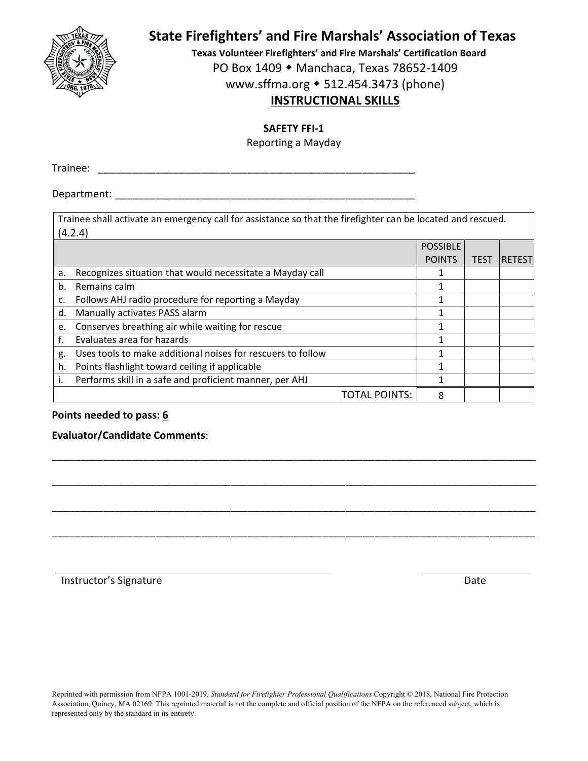

**Texas Volunteer Firefighters' and Fire Marshals' Certification Board**

PO Box 1409 ◆ Manchaca, Texas 78652-1409

www.sffma.org 512.454.3473 (phone)

## **INSTRUCTIONAL SKILLS**

**SAFETY FFI‐1**

Reporting a Mayday

Trainee: \_\_\_\_\_\_\_\_\_\_\_\_\_\_\_\_\_\_\_\_\_\_\_\_\_\_\_\_\_\_\_\_\_\_\_\_\_\_\_\_\_\_\_\_\_\_\_\_\_\_\_\_\_\_\_

Department:  $\blacksquare$ 

|    | Trainee shall activate an emergency call for assistance so that the firefighter can be located and rescued. |                 |             |               |  |  |
|----|-------------------------------------------------------------------------------------------------------------|-----------------|-------------|---------------|--|--|
|    | (4.2.4)                                                                                                     |                 |             |               |  |  |
|    |                                                                                                             | <b>POSSIBLE</b> |             |               |  |  |
|    |                                                                                                             | <b>POINTS</b>   | <b>TEST</b> | <b>RETEST</b> |  |  |
| a. | Recognizes situation that would necessitate a Mayday call                                                   |                 |             |               |  |  |
| b. | Remains calm                                                                                                | 1               |             |               |  |  |
| c. | Follows AHJ radio procedure for reporting a Mayday                                                          |                 |             |               |  |  |
| d. | Manually activates PASS alarm                                                                               |                 |             |               |  |  |
| e. | Conserves breathing air while waiting for rescue                                                            |                 |             |               |  |  |
|    | Evaluates area for hazards                                                                                  |                 |             |               |  |  |
| g. | Uses tools to make additional noises for rescuers to follow                                                 |                 |             |               |  |  |
| h. | Points flashlight toward ceiling if applicable                                                              |                 |             |               |  |  |
|    | Performs skill in a safe and proficient manner, per AHJ                                                     |                 |             |               |  |  |
|    | TOTAL POINTS:                                                                                               | 8               |             |               |  |  |

\_\_\_\_\_\_\_\_\_\_\_\_\_\_\_\_\_\_\_\_\_\_\_\_\_\_\_\_\_\_\_\_\_\_\_\_\_\_\_\_\_\_\_\_\_\_\_\_\_\_\_\_\_\_\_\_\_\_\_\_\_\_\_\_\_\_\_\_\_\_\_\_\_\_\_\_\_\_\_\_\_\_\_\_

\_\_\_\_\_\_\_\_\_\_\_\_\_\_\_\_\_\_\_\_\_\_\_\_\_\_\_\_\_\_\_\_\_\_\_\_\_\_\_\_\_\_\_\_\_\_\_\_\_\_\_\_\_\_\_\_\_\_\_\_\_\_\_\_\_\_\_\_\_\_\_\_\_\_\_\_\_\_\_\_\_\_\_\_

\_\_\_\_\_\_\_\_\_\_\_\_\_\_\_\_\_\_\_\_\_\_\_\_\_\_\_\_\_\_\_\_\_\_\_\_\_\_\_\_\_\_\_\_\_\_\_\_\_\_\_\_\_\_\_\_\_\_\_\_\_\_\_\_\_\_\_\_\_\_\_\_\_\_\_\_\_\_\_\_\_\_\_\_

\_\_\_\_\_\_\_\_\_\_\_\_\_\_\_\_\_\_\_\_\_\_\_\_\_\_\_\_\_\_\_\_\_\_\_\_\_\_\_\_\_\_\_\_\_\_\_\_\_\_\_\_\_\_\_\_\_\_\_\_\_\_\_\_\_\_\_\_\_\_\_\_\_\_\_\_\_\_\_\_\_\_\_\_

#### **Points needed to pass: 6**

#### **Evaluator/Candidate Comments**: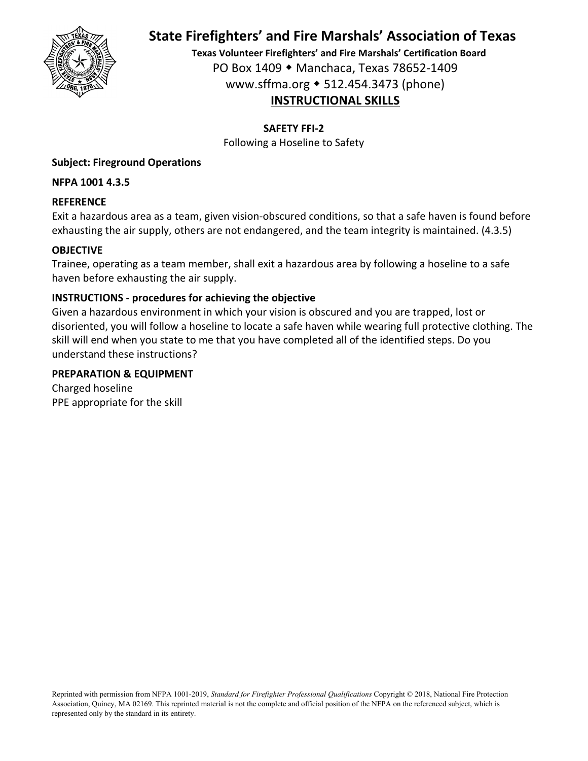

**Texas Volunteer Firefighters' and Fire Marshals' Certification Board** PO Box 1409 Manchaca, Texas 78652‐1409 www.sffma.org 512.454.3473 (phone) **INSTRUCTIONAL SKILLS**

**SAFETY FFI‐2**

Following a Hoseline to Safety

#### **Subject: Fireground Operations**

**NFPA 1001 4.3.5**

#### **REFERENCE**

Exit a hazardous area as a team, given vision‐obscured conditions, so that a safe haven is found before exhausting the air supply, others are not endangered, and the team integrity is maintained. (4.3.5)

#### **OBJECTIVE**

Trainee, operating as a team member, shall exit a hazardous area by following a hoseline to a safe haven before exhausting the air supply.

#### **INSTRUCTIONS ‐ procedures for achieving the objective**

Given a hazardous environment in which your vision is obscured and you are trapped, lost or disoriented, you will follow a hoseline to locate a safe haven while wearing full protective clothing. The skill will end when you state to me that you have completed all of the identified steps. Do you understand these instructions?

#### **PREPARATION & EQUIPMENT**

Charged hoseline PPE appropriate for the skill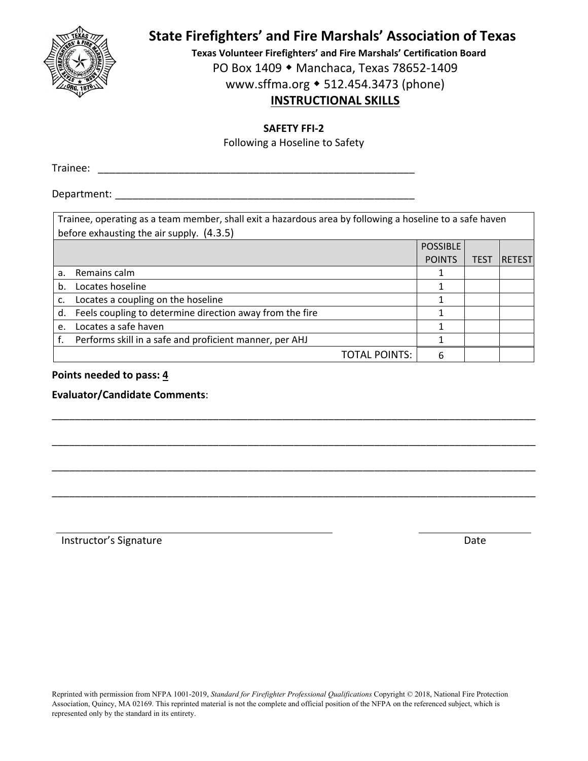

**Texas Volunteer Firefighters' and Fire Marshals' Certification Board**

PO Box 1409 ◆ Manchaca, Texas 78652-1409

www.sffma.org 512.454.3473 (phone)

## **INSTRUCTIONAL SKILLS**

#### **SAFETY FFI‐2**

Following a Hoseline to Safety

Trainee: \_\_\_\_\_\_\_\_\_\_\_\_\_\_\_\_\_\_\_\_\_\_\_\_\_\_\_\_\_\_\_\_\_\_\_\_\_\_\_\_\_\_\_\_\_\_\_\_\_\_\_\_\_\_\_

Department:  $\blacksquare$ 

|    | Trainee, operating as a team member, shall exit a hazardous area by following a hoseline to a safe haven<br>before exhausting the air supply. (4.3.5) |                 |             |               |  |  |
|----|-------------------------------------------------------------------------------------------------------------------------------------------------------|-----------------|-------------|---------------|--|--|
|    |                                                                                                                                                       | <b>POSSIBLE</b> |             |               |  |  |
|    |                                                                                                                                                       | <b>POINTS</b>   | <b>TEST</b> | <b>RETEST</b> |  |  |
| a. | Remains calm                                                                                                                                          |                 |             |               |  |  |
| b. | Locates hoseline                                                                                                                                      |                 |             |               |  |  |
| c. | Locates a coupling on the hoseline                                                                                                                    |                 |             |               |  |  |
| d. | Feels coupling to determine direction away from the fire                                                                                              |                 |             |               |  |  |
| e. | Locates a safe haven                                                                                                                                  |                 |             |               |  |  |
|    | Performs skill in a safe and proficient manner, per AHJ                                                                                               |                 |             |               |  |  |
|    | TOTAL POINTS:                                                                                                                                         | 6               |             |               |  |  |

\_\_\_\_\_\_\_\_\_\_\_\_\_\_\_\_\_\_\_\_\_\_\_\_\_\_\_\_\_\_\_\_\_\_\_\_\_\_\_\_\_\_\_\_\_\_\_\_\_\_\_\_\_\_\_\_\_\_\_\_\_\_\_\_\_\_\_\_\_\_\_\_\_\_\_\_\_\_\_\_\_\_\_\_

\_\_\_\_\_\_\_\_\_\_\_\_\_\_\_\_\_\_\_\_\_\_\_\_\_\_\_\_\_\_\_\_\_\_\_\_\_\_\_\_\_\_\_\_\_\_\_\_\_\_\_\_\_\_\_\_\_\_\_\_\_\_\_\_\_\_\_\_\_\_\_\_\_\_\_\_\_\_\_\_\_\_\_\_

\_\_\_\_\_\_\_\_\_\_\_\_\_\_\_\_\_\_\_\_\_\_\_\_\_\_\_\_\_\_\_\_\_\_\_\_\_\_\_\_\_\_\_\_\_\_\_\_\_\_\_\_\_\_\_\_\_\_\_\_\_\_\_\_\_\_\_\_\_\_\_\_\_\_\_\_\_\_\_\_\_\_\_\_

\_\_\_\_\_\_\_\_\_\_\_\_\_\_\_\_\_\_\_\_\_\_\_\_\_\_\_\_\_\_\_\_\_\_\_\_\_\_\_\_\_\_\_\_\_\_\_\_\_\_\_\_\_\_\_\_\_\_\_\_\_\_\_\_\_\_\_\_\_\_\_\_\_\_\_\_\_\_\_\_\_\_\_\_

**Points needed to pass: 4**

**Evaluator/Candidate Comments**: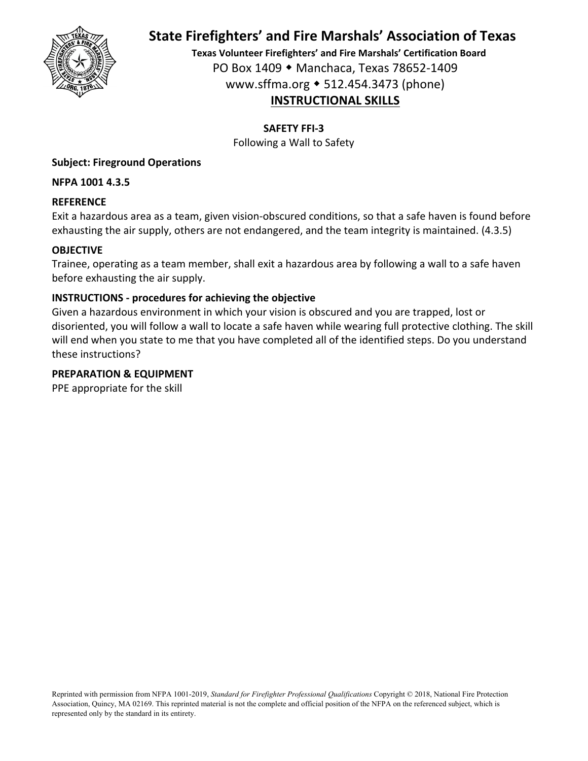

**Texas Volunteer Firefighters' and Fire Marshals' Certification Board** PO Box 1409 Manchaca, Texas 78652‐1409 www.sffma.org 512.454.3473 (phone) **INSTRUCTIONAL SKILLS**

**SAFETY FFI‐3**

Following a Wall to Safety

#### **Subject: Fireground Operations**

**NFPA 1001 4.3.5**

#### **REFERENCE**

Exit a hazardous area as a team, given vision‐obscured conditions, so that a safe haven is found before exhausting the air supply, others are not endangered, and the team integrity is maintained. (4.3.5)

#### **OBJECTIVE**

Trainee, operating as a team member, shall exit a hazardous area by following a wall to a safe haven before exhausting the air supply.

#### **INSTRUCTIONS ‐ procedures for achieving the objective**

Given a hazardous environment in which your vision is obscured and you are trapped, lost or disoriented, you will follow a wall to locate a safe haven while wearing full protective clothing. The skill will end when you state to me that you have completed all of the identified steps. Do you understand these instructions?

#### **PREPARATION & EQUIPMENT**

PPE appropriate for the skill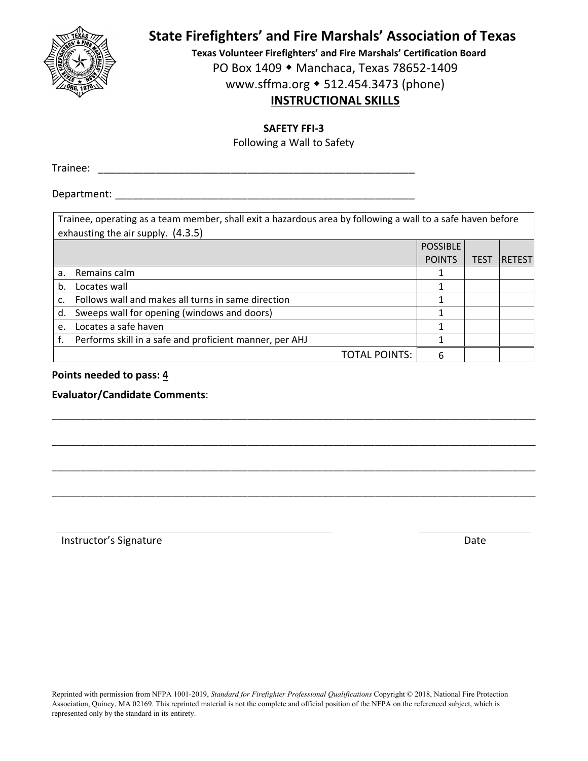

**Texas Volunteer Firefighters' and Fire Marshals' Certification Board**

PO Box 1409 ◆ Manchaca, Texas 78652-1409

www.sffma.org 512.454.3473 (phone)

## **INSTRUCTIONAL SKILLS**

**SAFETY FFI‐3**

Following a Wall to Safety

Trainee: \_\_\_\_\_\_\_\_\_\_\_\_\_\_\_\_\_\_\_\_\_\_\_\_\_\_\_\_\_\_\_\_\_\_\_\_\_\_\_\_\_\_\_\_\_\_\_\_\_\_\_\_\_\_\_

Department:  $\blacksquare$ 

|    | Trainee, operating as a team member, shall exit a hazardous area by following a wall to a safe haven before<br>exhausting the air supply. (4.3.5) |                 |             |                |  |  |
|----|---------------------------------------------------------------------------------------------------------------------------------------------------|-----------------|-------------|----------------|--|--|
|    |                                                                                                                                                   | <b>POSSIBLE</b> |             |                |  |  |
|    |                                                                                                                                                   | <b>POINTS</b>   | <b>TEST</b> | <b>RETESTI</b> |  |  |
| a. | Remains calm                                                                                                                                      |                 |             |                |  |  |
| b. | Locates wall                                                                                                                                      |                 |             |                |  |  |
| c. | Follows wall and makes all turns in same direction                                                                                                |                 |             |                |  |  |
| d. | Sweeps wall for opening (windows and doors)                                                                                                       |                 |             |                |  |  |
| e. | Locates a safe haven                                                                                                                              |                 |             |                |  |  |
|    | Performs skill in a safe and proficient manner, per AHJ                                                                                           |                 |             |                |  |  |
|    | <b>TOTAL POINTS:</b>                                                                                                                              | 6               |             |                |  |  |

\_\_\_\_\_\_\_\_\_\_\_\_\_\_\_\_\_\_\_\_\_\_\_\_\_\_\_\_\_\_\_\_\_\_\_\_\_\_\_\_\_\_\_\_\_\_\_\_\_\_\_\_\_\_\_\_\_\_\_\_\_\_\_\_\_\_\_\_\_\_\_\_\_\_\_\_\_\_\_\_\_\_\_\_

\_\_\_\_\_\_\_\_\_\_\_\_\_\_\_\_\_\_\_\_\_\_\_\_\_\_\_\_\_\_\_\_\_\_\_\_\_\_\_\_\_\_\_\_\_\_\_\_\_\_\_\_\_\_\_\_\_\_\_\_\_\_\_\_\_\_\_\_\_\_\_\_\_\_\_\_\_\_\_\_\_\_\_\_

\_\_\_\_\_\_\_\_\_\_\_\_\_\_\_\_\_\_\_\_\_\_\_\_\_\_\_\_\_\_\_\_\_\_\_\_\_\_\_\_\_\_\_\_\_\_\_\_\_\_\_\_\_\_\_\_\_\_\_\_\_\_\_\_\_\_\_\_\_\_\_\_\_\_\_\_\_\_\_\_\_\_\_\_

\_\_\_\_\_\_\_\_\_\_\_\_\_\_\_\_\_\_\_\_\_\_\_\_\_\_\_\_\_\_\_\_\_\_\_\_\_\_\_\_\_\_\_\_\_\_\_\_\_\_\_\_\_\_\_\_\_\_\_\_\_\_\_\_\_\_\_\_\_\_\_\_\_\_\_\_\_\_\_\_\_\_\_\_

**Points needed to pass: 4**

**Evaluator/Candidate Comments**: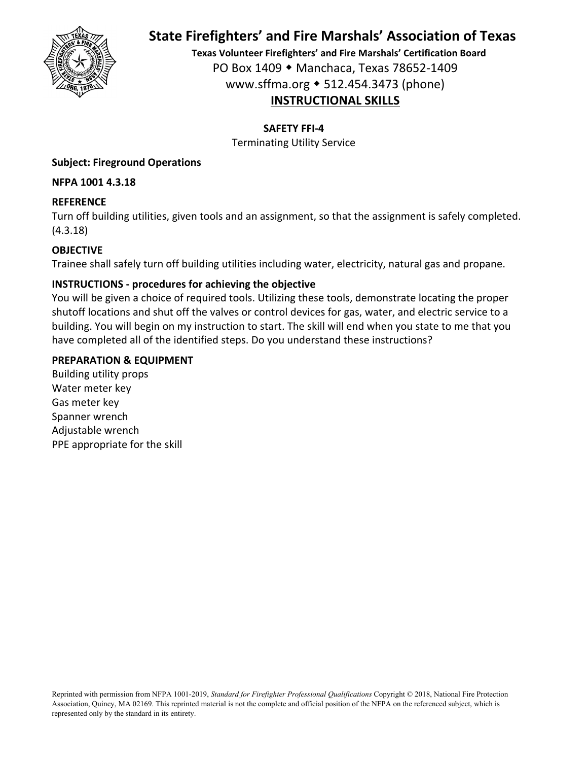

**Texas Volunteer Firefighters' and Fire Marshals' Certification Board** PO Box 1409 Manchaca, Texas 78652‐1409 www.sffma.org 512.454.3473 (phone) **INSTRUCTIONAL SKILLS**

**SAFETY FFI‐4**

Terminating Utility Service

#### **Subject: Fireground Operations**

**NFPA 1001 4.3.18**

#### **REFERENCE**

Turn off building utilities, given tools and an assignment, so that the assignment is safely completed. (4.3.18)

### **OBJECTIVE**

Trainee shall safely turn off building utilities including water, electricity, natural gas and propane.

#### **INSTRUCTIONS ‐ procedures for achieving the objective**

You will be given a choice of required tools. Utilizing these tools, demonstrate locating the proper shutoff locations and shut off the valves or control devices for gas, water, and electric service to a building. You will begin on my instruction to start. The skill will end when you state to me that you have completed all of the identified steps. Do you understand these instructions?

#### **PREPARATION & EQUIPMENT**

Building utility props Water meter key Gas meter key Spanner wrench Adjustable wrench PPE appropriate for the skill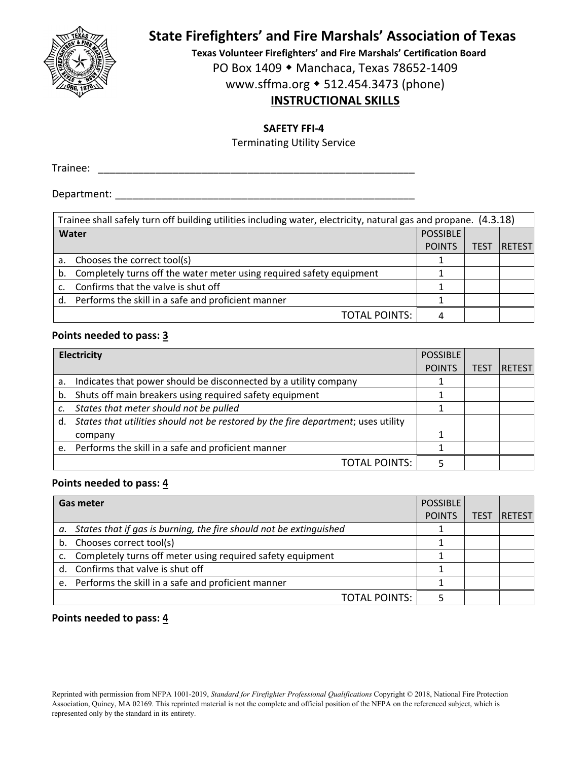

**Texas Volunteer Firefighters' and Fire Marshals' Certification Board**

PO Box 1409 ◆ Manchaca, Texas 78652-1409

www.sffma.org 512.454.3473 (phone)

## **INSTRUCTIONAL SKILLS**

#### **SAFETY FFI‐4**

Terminating Utility Service

Trainee: \_\_\_\_\_\_\_\_\_\_\_\_\_\_\_\_\_\_\_\_\_\_\_\_\_\_\_\_\_\_\_\_\_\_\_\_\_\_\_\_\_\_\_\_\_\_\_\_\_\_\_\_\_\_\_

Department:  $\blacksquare$ 

|       | Trainee shall safely turn off building utilities including water, electricity, natural gas and propane. (4.3.18) |                 |             |               |  |
|-------|------------------------------------------------------------------------------------------------------------------|-----------------|-------------|---------------|--|
| Water |                                                                                                                  | <b>POSSIBLE</b> |             |               |  |
|       |                                                                                                                  | <b>POINTS</b>   | <b>TEST</b> | <b>RETEST</b> |  |
| a.    | Chooses the correct tool(s)                                                                                      |                 |             |               |  |
| b.    | Completely turns off the water meter using required safety equipment                                             |                 |             |               |  |
|       | Confirms that the valve is shut off                                                                              |                 |             |               |  |
| d.    | Performs the skill in a safe and proficient manner                                                               |                 |             |               |  |
|       | <b>TOTAL POINTS:</b>                                                                                             |                 |             |               |  |

#### **Points needed to pass: 3**

|    | Electricity                                                                       |               |             |               |
|----|-----------------------------------------------------------------------------------|---------------|-------------|---------------|
|    |                                                                                   | <b>POINTS</b> | <b>TEST</b> | <b>RETEST</b> |
| a. | Indicates that power should be disconnected by a utility company                  |               |             |               |
| b. | Shuts off main breakers using required safety equipment                           |               |             |               |
|    | States that meter should not be pulled                                            |               |             |               |
| d. | States that utilities should not be restored by the fire department; uses utility |               |             |               |
|    | company                                                                           |               |             |               |
|    | e. Performs the skill in a safe and proficient manner                             |               |             |               |
|    | <b>TOTAL POINTS:</b>                                                              |               |             |               |

#### **Points needed to pass: 4**

| <b>Gas meter</b>                                                      |               |      |                |
|-----------------------------------------------------------------------|---------------|------|----------------|
|                                                                       | <b>POINTS</b> | TEST | <b>IRETEST</b> |
| a. States that if gas is burning, the fire should not be extinguished |               |      |                |
| b. Chooses correct tool(s)                                            |               |      |                |
| c. Completely turns off meter using required safety equipment         |               |      |                |
| d. Confirms that valve is shut off                                    |               |      |                |
| e. Performs the skill in a safe and proficient manner                 |               |      |                |
| <b>TOTAL POINTS:</b>                                                  |               |      |                |

#### **Points needed to pass: 4**

Reprinted with permission from NFPA 1001-2019, *Standard for Firefighter Professional Qualifications* Copyright © 2018, National Fire Protection Association, Quincy, MA 02169. This reprinted material is not the complete and official position of the NFPA on the referenced subject, which is represented only by the standard in its entirety.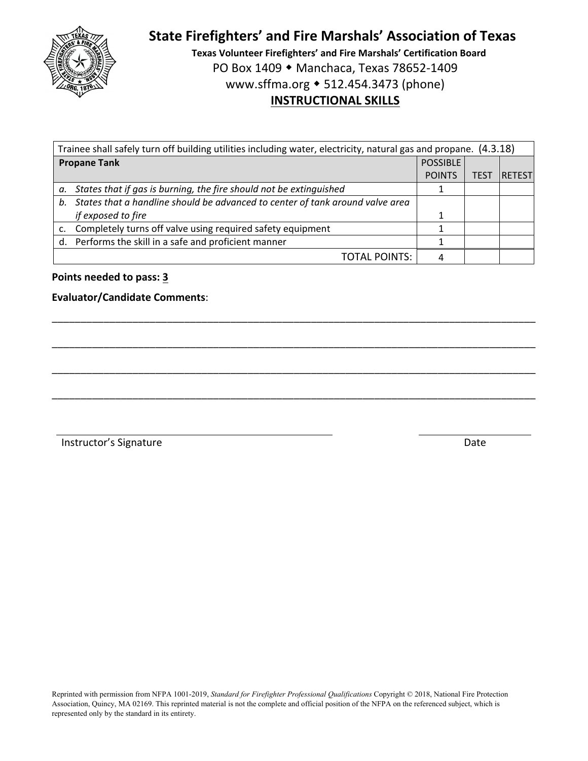

**Texas Volunteer Firefighters' and Fire Marshals' Certification Board** PO Box 1409 ◆ Manchaca, Texas 78652-1409 www.sffma.org 512.454.3473 (phone) **INSTRUCTIONAL SKILLS**

| Trainee shall safely turn off building utilities including water, electricity, natural gas and propane. (4.3.18) |                 |      |         |  |  |
|------------------------------------------------------------------------------------------------------------------|-----------------|------|---------|--|--|
| <b>Propane Tank</b>                                                                                              | <b>POSSIBLE</b> |      |         |  |  |
|                                                                                                                  | <b>POINTS</b>   | TEST | IRETEST |  |  |
| a. States that if gas is burning, the fire should not be extinguished                                            |                 |      |         |  |  |
| b. States that a handline should be advanced to center of tank around valve area                                 |                 |      |         |  |  |
| if exposed to fire                                                                                               |                 |      |         |  |  |
| c. Completely turns off valve using required safety equipment                                                    |                 |      |         |  |  |
| d. Performs the skill in a safe and proficient manner                                                            |                 |      |         |  |  |
| <b>TOTAL POINTS:</b>                                                                                             |                 |      |         |  |  |

\_\_\_\_\_\_\_\_\_\_\_\_\_\_\_\_\_\_\_\_\_\_\_\_\_\_\_\_\_\_\_\_\_\_\_\_\_\_\_\_\_\_\_\_\_\_\_\_\_\_\_\_\_\_\_\_\_\_\_\_\_\_\_\_\_\_\_\_\_\_\_\_\_\_\_\_\_\_\_\_\_\_\_\_

\_\_\_\_\_\_\_\_\_\_\_\_\_\_\_\_\_\_\_\_\_\_\_\_\_\_\_\_\_\_\_\_\_\_\_\_\_\_\_\_\_\_\_\_\_\_\_\_\_\_\_\_\_\_\_\_\_\_\_\_\_\_\_\_\_\_\_\_\_\_\_\_\_\_\_\_\_\_\_\_\_\_\_\_

\_\_\_\_\_\_\_\_\_\_\_\_\_\_\_\_\_\_\_\_\_\_\_\_\_\_\_\_\_\_\_\_\_\_\_\_\_\_\_\_\_\_\_\_\_\_\_\_\_\_\_\_\_\_\_\_\_\_\_\_\_\_\_\_\_\_\_\_\_\_\_\_\_\_\_\_\_\_\_\_\_\_\_\_

\_\_\_\_\_\_\_\_\_\_\_\_\_\_\_\_\_\_\_\_\_\_\_\_\_\_\_\_\_\_\_\_\_\_\_\_\_\_\_\_\_\_\_\_\_\_\_\_\_\_\_\_\_\_\_\_\_\_\_\_\_\_\_\_\_\_\_\_\_\_\_\_\_\_\_\_\_\_\_\_\_\_\_\_

#### **Points needed to pass: 3**

#### **Evaluator/Candidate Comments**: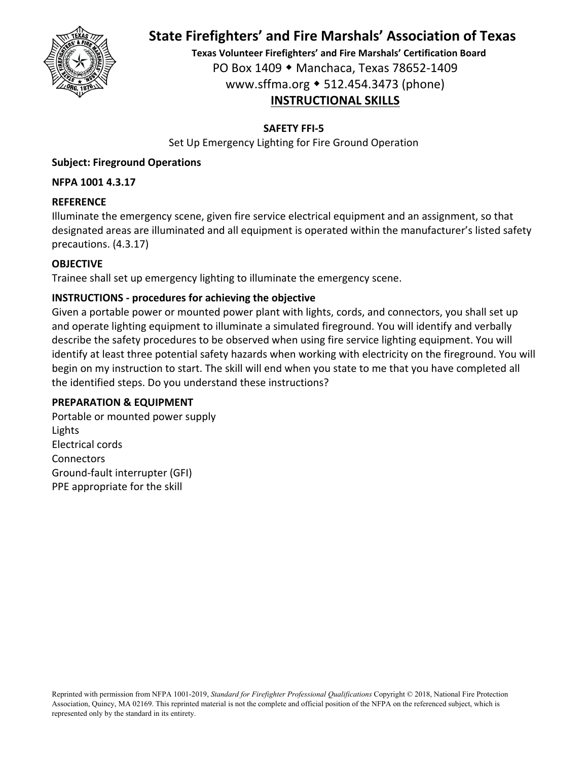

**Texas Volunteer Firefighters' and Fire Marshals' Certification Board** PO Box 1409 Manchaca, Texas 78652‐1409 www.sffma.org 512.454.3473 (phone) **INSTRUCTIONAL SKILLS**

#### **SAFETY FFI‐5**

Set Up Emergency Lighting for Fire Ground Operation

### **Subject: Fireground Operations**

#### **NFPA 1001 4.3.17**

#### **REFERENCE**

Illuminate the emergency scene, given fire service electrical equipment and an assignment, so that designated areas are illuminated and all equipment is operated within the manufacturer's listed safety precautions. (4.3.17)

#### **OBJECTIVE**

Trainee shall set up emergency lighting to illuminate the emergency scene.

#### **INSTRUCTIONS ‐ procedures for achieving the objective**

Given a portable power or mounted power plant with lights, cords, and connectors, you shall set up and operate lighting equipment to illuminate a simulated fireground. You will identify and verbally describe the safety procedures to be observed when using fire service lighting equipment. You will identify at least three potential safety hazards when working with electricity on the fireground. You will begin on my instruction to start. The skill will end when you state to me that you have completed all the identified steps. Do you understand these instructions?

#### **PREPARATION & EQUIPMENT**

Portable or mounted power supply Lights Electrical cords **Connectors** Ground‐fault interrupter (GFI) PPE appropriate for the skill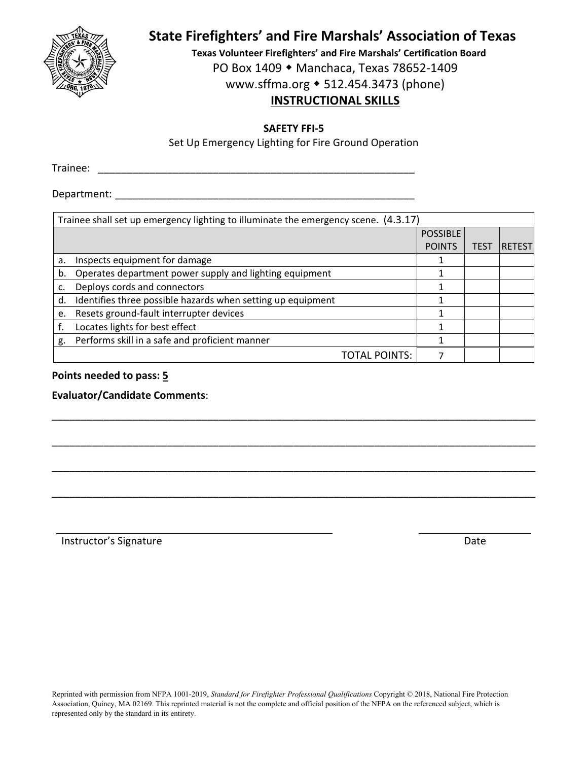

**Texas Volunteer Firefighters' and Fire Marshals' Certification Board** PO Box 1409 ◆ Manchaca, Texas 78652-1409 www.sffma.org 512.454.3473 (phone)

## **INSTRUCTIONAL SKILLS**

**SAFETY FFI‐5**

Set Up Emergency Lighting for Fire Ground Operation

Trainee: \_\_\_\_\_\_\_\_\_\_\_\_\_\_\_\_\_\_\_\_\_\_\_\_\_\_\_\_\_\_\_\_\_\_\_\_\_\_\_\_\_\_\_\_\_\_\_\_\_\_\_\_\_\_\_

Department:  $\blacksquare$ 

|    | Trainee shall set up emergency lighting to illuminate the emergency scene. (4.3.17) |                 |             |                |  |  |
|----|-------------------------------------------------------------------------------------|-----------------|-------------|----------------|--|--|
|    |                                                                                     | <b>POSSIBLE</b> |             |                |  |  |
|    |                                                                                     | <b>POINTS</b>   | <b>TES1</b> | <b>RETESTI</b> |  |  |
| a. | Inspects equipment for damage                                                       | 1               |             |                |  |  |
| b. | Operates department power supply and lighting equipment                             |                 |             |                |  |  |
|    | Deploys cords and connectors                                                        |                 |             |                |  |  |
| d. | Identifies three possible hazards when setting up equipment                         |                 |             |                |  |  |
| e. | Resets ground-fault interrupter devices                                             |                 |             |                |  |  |
|    | Locates lights for best effect                                                      | 1               |             |                |  |  |
| g. | Performs skill in a safe and proficient manner                                      |                 |             |                |  |  |
|    | <b>TOTAL POINTS:</b>                                                                |                 |             |                |  |  |

\_\_\_\_\_\_\_\_\_\_\_\_\_\_\_\_\_\_\_\_\_\_\_\_\_\_\_\_\_\_\_\_\_\_\_\_\_\_\_\_\_\_\_\_\_\_\_\_\_\_\_\_\_\_\_\_\_\_\_\_\_\_\_\_\_\_\_\_\_\_\_\_\_\_\_\_\_\_\_\_\_\_\_\_

\_\_\_\_\_\_\_\_\_\_\_\_\_\_\_\_\_\_\_\_\_\_\_\_\_\_\_\_\_\_\_\_\_\_\_\_\_\_\_\_\_\_\_\_\_\_\_\_\_\_\_\_\_\_\_\_\_\_\_\_\_\_\_\_\_\_\_\_\_\_\_\_\_\_\_\_\_\_\_\_\_\_\_\_

\_\_\_\_\_\_\_\_\_\_\_\_\_\_\_\_\_\_\_\_\_\_\_\_\_\_\_\_\_\_\_\_\_\_\_\_\_\_\_\_\_\_\_\_\_\_\_\_\_\_\_\_\_\_\_\_\_\_\_\_\_\_\_\_\_\_\_\_\_\_\_\_\_\_\_\_\_\_\_\_\_\_\_\_

\_\_\_\_\_\_\_\_\_\_\_\_\_\_\_\_\_\_\_\_\_\_\_\_\_\_\_\_\_\_\_\_\_\_\_\_\_\_\_\_\_\_\_\_\_\_\_\_\_\_\_\_\_\_\_\_\_\_\_\_\_\_\_\_\_\_\_\_\_\_\_\_\_\_\_\_\_\_\_\_\_\_\_\_

### **Points needed to pass: 5**

**Evaluator/Candidate Comments**: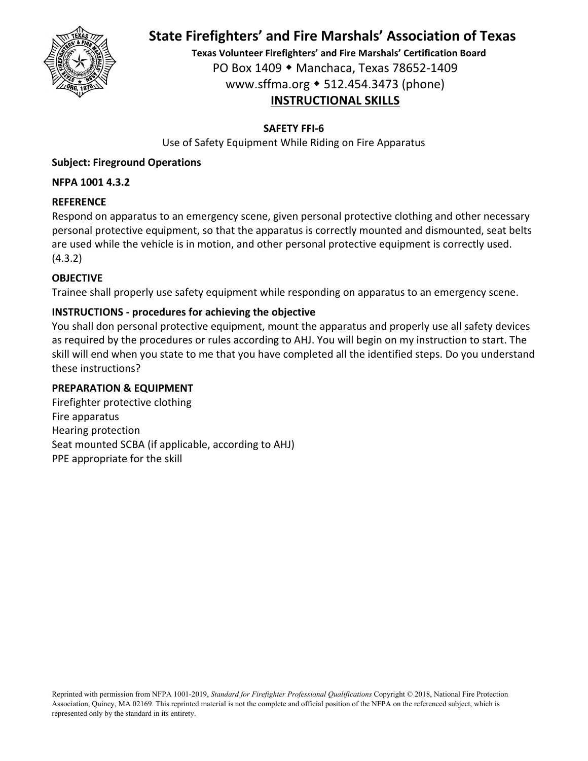

**Texas Volunteer Firefighters' and Fire Marshals' Certification Board** PO Box 1409 Manchaca, Texas 78652‐1409 www.sffma.org 512.454.3473 (phone) **INSTRUCTIONAL SKILLS**

#### **SAFETY FFI‐6**

Use of Safety Equipment While Riding on Fire Apparatus

### **Subject: Fireground Operations**

#### **NFPA 1001 4.3.2**

#### **REFERENCE**

Respond on apparatus to an emergency scene, given personal protective clothing and other necessary personal protective equipment, so that the apparatus is correctly mounted and dismounted, seat belts are used while the vehicle is in motion, and other personal protective equipment is correctly used. (4.3.2)

#### **OBJECTIVE**

Trainee shall properly use safety equipment while responding on apparatus to an emergency scene.

#### **INSTRUCTIONS ‐ procedures for achieving the objective**

You shall don personal protective equipment, mount the apparatus and properly use all safety devices as required by the procedures or rules according to AHJ. You will begin on my instruction to start. The skill will end when you state to me that you have completed all the identified steps. Do you understand these instructions?

#### **PREPARATION & EQUIPMENT**

Firefighter protective clothing Fire apparatus Hearing protection Seat mounted SCBA (if applicable, according to AHJ) PPE appropriate for the skill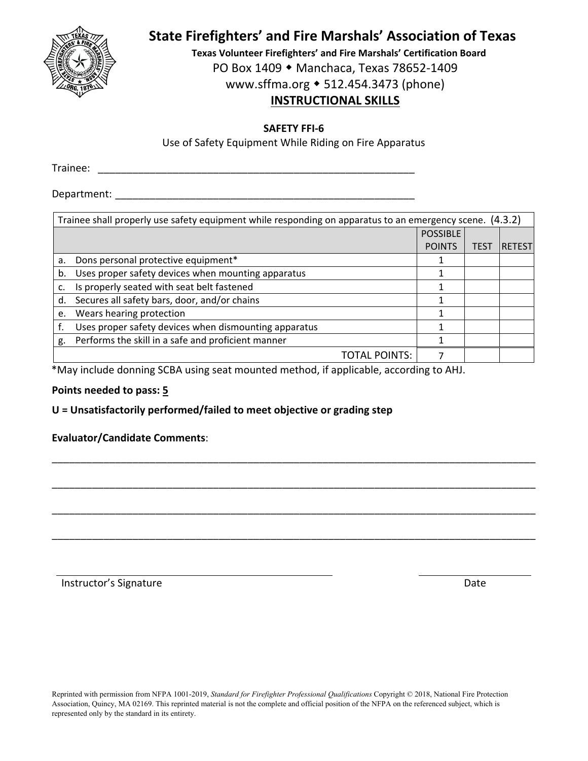

**Texas Volunteer Firefighters' and Fire Marshals' Certification Board** PO Box 1409 ◆ Manchaca, Texas 78652-1409 www.sffma.org 512.454.3473 (phone)

## **INSTRUCTIONAL SKILLS**

#### **SAFETY FFI‐6**

Use of Safety Equipment While Riding on Fire Apparatus

Trainee: \_\_\_\_\_\_\_\_\_\_\_\_\_\_\_\_\_\_\_\_\_\_\_\_\_\_\_\_\_\_\_\_\_\_\_\_\_\_\_\_\_\_\_\_\_\_\_\_\_\_\_\_\_\_\_

Department:  $\blacksquare$ 

|    | Trainee shall properly use safety equipment while responding on apparatus to an emergency scene. (4.3.2) |                 |                  |                |  |  |
|----|----------------------------------------------------------------------------------------------------------|-----------------|------------------|----------------|--|--|
|    |                                                                                                          | <b>POSSIBLE</b> |                  |                |  |  |
|    |                                                                                                          | <b>POINTS</b>   | TES <sup>-</sup> | <b>RETESTI</b> |  |  |
| a. | Dons personal protective equipment*                                                                      | 1               |                  |                |  |  |
| b. | Uses proper safety devices when mounting apparatus                                                       |                 |                  |                |  |  |
|    | Is properly seated with seat belt fastened                                                               |                 |                  |                |  |  |
| d. | Secures all safety bars, door, and/or chains                                                             |                 |                  |                |  |  |
| e. | Wears hearing protection                                                                                 |                 |                  |                |  |  |
|    | Uses proper safety devices when dismounting apparatus                                                    |                 |                  |                |  |  |
| g. | Performs the skill in a safe and proficient manner                                                       |                 |                  |                |  |  |
|    | <b>TOTAL POINTS:</b>                                                                                     |                 |                  |                |  |  |

\_\_\_\_\_\_\_\_\_\_\_\_\_\_\_\_\_\_\_\_\_\_\_\_\_\_\_\_\_\_\_\_\_\_\_\_\_\_\_\_\_\_\_\_\_\_\_\_\_\_\_\_\_\_\_\_\_\_\_\_\_\_\_\_\_\_\_\_\_\_\_\_\_\_\_\_\_\_\_\_\_\_\_\_

\_\_\_\_\_\_\_\_\_\_\_\_\_\_\_\_\_\_\_\_\_\_\_\_\_\_\_\_\_\_\_\_\_\_\_\_\_\_\_\_\_\_\_\_\_\_\_\_\_\_\_\_\_\_\_\_\_\_\_\_\_\_\_\_\_\_\_\_\_\_\_\_\_\_\_\_\_\_\_\_\_\_\_\_

\_\_\_\_\_\_\_\_\_\_\_\_\_\_\_\_\_\_\_\_\_\_\_\_\_\_\_\_\_\_\_\_\_\_\_\_\_\_\_\_\_\_\_\_\_\_\_\_\_\_\_\_\_\_\_\_\_\_\_\_\_\_\_\_\_\_\_\_\_\_\_\_\_\_\_\_\_\_\_\_\_\_\_\_

\_\_\_\_\_\_\_\_\_\_\_\_\_\_\_\_\_\_\_\_\_\_\_\_\_\_\_\_\_\_\_\_\_\_\_\_\_\_\_\_\_\_\_\_\_\_\_\_\_\_\_\_\_\_\_\_\_\_\_\_\_\_\_\_\_\_\_\_\_\_\_\_\_\_\_\_\_\_\_\_\_\_\_\_

\*May include donning SCBA using seat mounted method, if applicable, according to AHJ.

#### **Points needed to pass: 5**

**U = Unsatisfactorily performed/failed to meet objective or grading step**

#### **Evaluator/Candidate Comments**: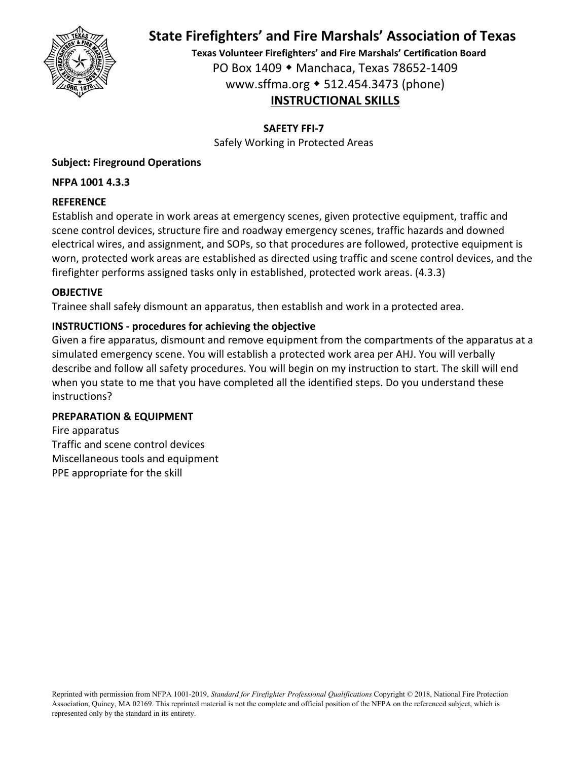

**Texas Volunteer Firefighters' and Fire Marshals' Certification Board** PO Box 1409 Manchaca, Texas 78652‐1409 www.sffma.org 512.454.3473 (phone) **INSTRUCTIONAL SKILLS**

**SAFETY FFI‐7**

Safely Working in Protected Areas

## **Subject: Fireground Operations**

## **NFPA 1001 4.3.3**

## **REFERENCE**

Establish and operate in work areas at emergency scenes, given protective equipment, traffic and scene control devices, structure fire and roadway emergency scenes, traffic hazards and downed electrical wires, and assignment, and SOPs, so that procedures are followed, protective equipment is worn, protected work areas are established as directed using traffic and scene control devices, and the firefighter performs assigned tasks only in established, protected work areas. (4.3.3)

## **OBJECTIVE**

Trainee shall safely dismount an apparatus, then establish and work in a protected area.

## **INSTRUCTIONS ‐ procedures for achieving the objective**

Given a fire apparatus, dismount and remove equipment from the compartments of the apparatus at a simulated emergency scene. You will establish a protected work area per AHJ. You will verbally describe and follow all safety procedures. You will begin on my instruction to start. The skill will end when you state to me that you have completed all the identified steps. Do you understand these instructions?

## **PREPARATION & EQUIPMENT**

Fire apparatus Traffic and scene control devices Miscellaneous tools and equipment PPE appropriate for the skill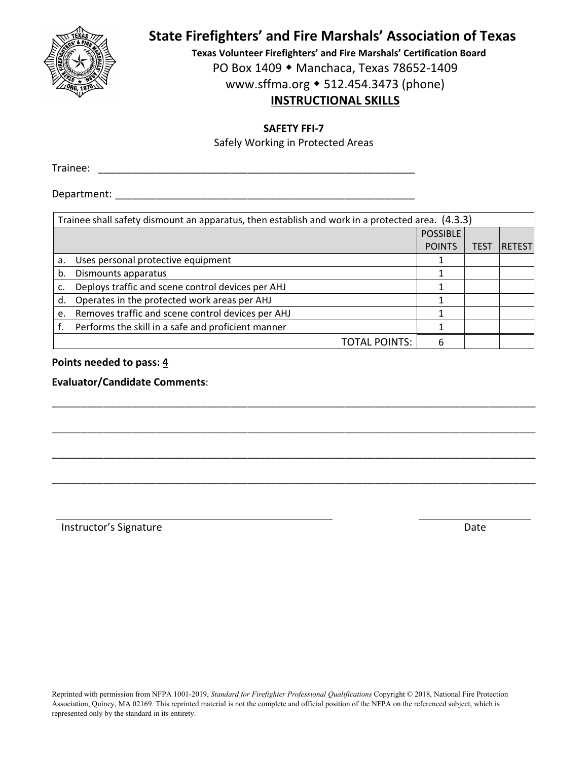

**Texas Volunteer Firefighters' and Fire Marshals' Certification Board** PO Box 1409 ◆ Manchaca, Texas 78652-1409 www.sffma.org 512.454.3473 (phone)

## **INSTRUCTIONAL SKILLS**

**SAFETY FFI‐7**

Safely Working in Protected Areas

Trainee: \_\_\_\_\_\_\_\_\_\_\_\_\_\_\_\_\_\_\_\_\_\_\_\_\_\_\_\_\_\_\_\_\_\_\_\_\_\_\_\_\_\_\_\_\_\_\_\_\_\_\_\_\_\_\_

Department:  $\blacksquare$ 

|                 | Trainee shall safety dismount an apparatus, then establish and work in a protected area. (4.3.3) |               |             |          |  |  |
|-----------------|--------------------------------------------------------------------------------------------------|---------------|-------------|----------|--|--|
| <b>POSSIBLE</b> |                                                                                                  |               |             |          |  |  |
|                 |                                                                                                  | <b>POINTS</b> | <b>TEST</b> | 'RETESTI |  |  |
| a.              | Uses personal protective equipment                                                               |               |             |          |  |  |
| b.              | Dismounts apparatus                                                                              |               |             |          |  |  |
|                 | Deploys traffic and scene control devices per AHJ                                                |               |             |          |  |  |
| d.              | Operates in the protected work areas per AHJ                                                     |               |             |          |  |  |
| e.              | Removes traffic and scene control devices per AHJ                                                |               |             |          |  |  |
|                 | Performs the skill in a safe and proficient manner                                               |               |             |          |  |  |
|                 | TOTAL POINTS:                                                                                    |               |             |          |  |  |

\_\_\_\_\_\_\_\_\_\_\_\_\_\_\_\_\_\_\_\_\_\_\_\_\_\_\_\_\_\_\_\_\_\_\_\_\_\_\_\_\_\_\_\_\_\_\_\_\_\_\_\_\_\_\_\_\_\_\_\_\_\_\_\_\_\_\_\_\_\_\_\_\_\_\_\_\_\_\_\_\_\_\_\_

\_\_\_\_\_\_\_\_\_\_\_\_\_\_\_\_\_\_\_\_\_\_\_\_\_\_\_\_\_\_\_\_\_\_\_\_\_\_\_\_\_\_\_\_\_\_\_\_\_\_\_\_\_\_\_\_\_\_\_\_\_\_\_\_\_\_\_\_\_\_\_\_\_\_\_\_\_\_\_\_\_\_\_\_

\_\_\_\_\_\_\_\_\_\_\_\_\_\_\_\_\_\_\_\_\_\_\_\_\_\_\_\_\_\_\_\_\_\_\_\_\_\_\_\_\_\_\_\_\_\_\_\_\_\_\_\_\_\_\_\_\_\_\_\_\_\_\_\_\_\_\_\_\_\_\_\_\_\_\_\_\_\_\_\_\_\_\_\_

\_\_\_\_\_\_\_\_\_\_\_\_\_\_\_\_\_\_\_\_\_\_\_\_\_\_\_\_\_\_\_\_\_\_\_\_\_\_\_\_\_\_\_\_\_\_\_\_\_\_\_\_\_\_\_\_\_\_\_\_\_\_\_\_\_\_\_\_\_\_\_\_\_\_\_\_\_\_\_\_\_\_\_\_

**Points needed to pass: 4**

**Evaluator/Candidate Comments**: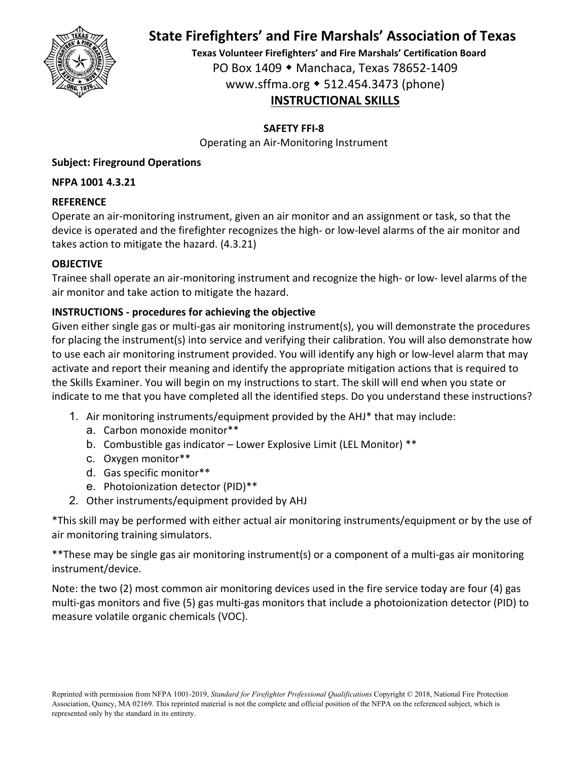

**Texas Volunteer Firefighters' and Fire Marshals' Certification Board** PO Box 1409 Manchaca, Texas 78652‐1409 www.sffma.org 512.454.3473 (phone) **INSTRUCTIONAL SKILLS**

### **SAFETY FFI‐8**

Operating an Air‐Monitoring Instrument

### **Subject: Fireground Operations**

#### **NFPA 1001 4.3.21**

#### **REFERENCE**

Operate an air‐monitoring instrument, given an air monitor and an assignment or task, so that the device is operated and the firefighter recognizes the high‐ or low‐level alarms of the air monitor and takes action to mitigate the hazard. (4.3.21)

#### **OBJECTIVE**

Trainee shall operate an air‐monitoring instrument and recognize the high‐ or low‐ level alarms of the air monitor and take action to mitigate the hazard.

#### **INSTRUCTIONS ‐ procedures for achieving the objective**

Given either single gas or multi‐gas air monitoring instrument(s), you will demonstrate the procedures for placing the instrument(s) into service and verifying their calibration. You will also demonstrate how to use each air monitoring instrument provided. You will identify any high or low‐level alarm that may activate and report their meaning and identify the appropriate mitigation actions that is required to the Skills Examiner. You will begin on my instructions to start. The skill will end when you state or indicate to me that you have completed all the identified steps. Do you understand these instructions?

- 1. Air monitoring instruments/equipment provided by the AHJ\* that may include:
	- a. Carbon monoxide monitor\*\*
	- b. Combustible gas indicator Lower Explosive Limit (LEL Monitor) \*\*
	- c. Oxygen monitor\*\*
	- d. Gas specific monitor\*\*
	- e. Photoionization detector (PID)\*\*
- 2. Other instruments/equipment provided by AHJ

\*This skill may be performed with either actual air monitoring instruments/equipment or by the use of air monitoring training simulators.

\*\*These may be single gas air monitoring instrument(s) or a component of a multi‐gas air monitoring instrument/device.

Note: the two (2) most common air monitoring devices used in the fire service today are four (4) gas multi‐gas monitors and five (5) gas multi‐gas monitors that include a photoionization detector (PID) to measure volatile organic chemicals (VOC).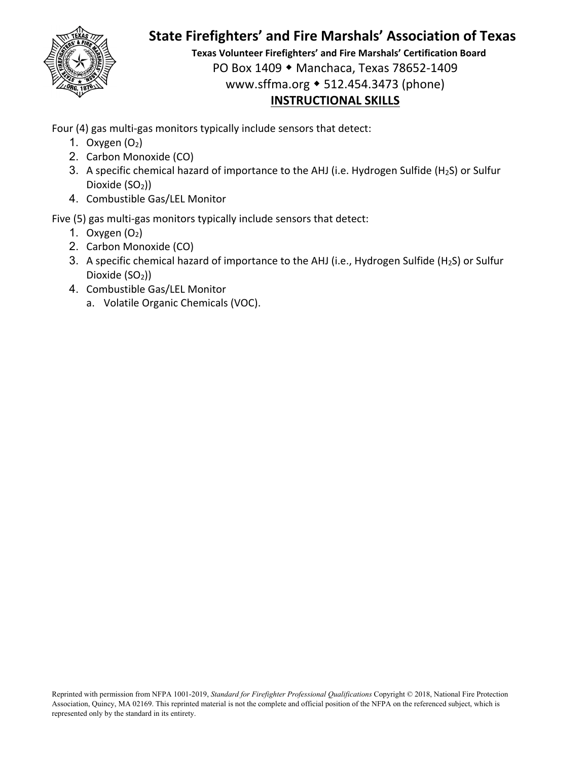

**Texas Volunteer Firefighters' and Fire Marshals' Certification Board** PO Box 1409 Manchaca, Texas 78652‐1409 www.sffma.org 512.454.3473 (phone) **INSTRUCTIONAL SKILLS**

Four (4) gas multi-gas monitors typically include sensors that detect:

- 1. Oxygen  $(O_2)$
- 2. Carbon Monoxide (CO)
- 3. A specific chemical hazard of importance to the AHJ (i.e. Hydrogen Sulfide (H<sub>2</sub>S) or Sulfur Dioxide (SO<sub>2</sub>))
- 4. Combustible Gas/LEL Monitor

Five (5) gas multi-gas monitors typically include sensors that detect:

- 1. Oxygen  $(O_2)$
- 2. Carbon Monoxide (CO)
- 3. A specific chemical hazard of importance to the AHJ (i.e., Hydrogen Sulfide (H<sub>2</sub>S) or Sulfur Dioxide  $(SO<sub>2</sub>)$ )
- 4. Combustible Gas/LEL Monitor
	- a. Volatile Organic Chemicals (VOC).